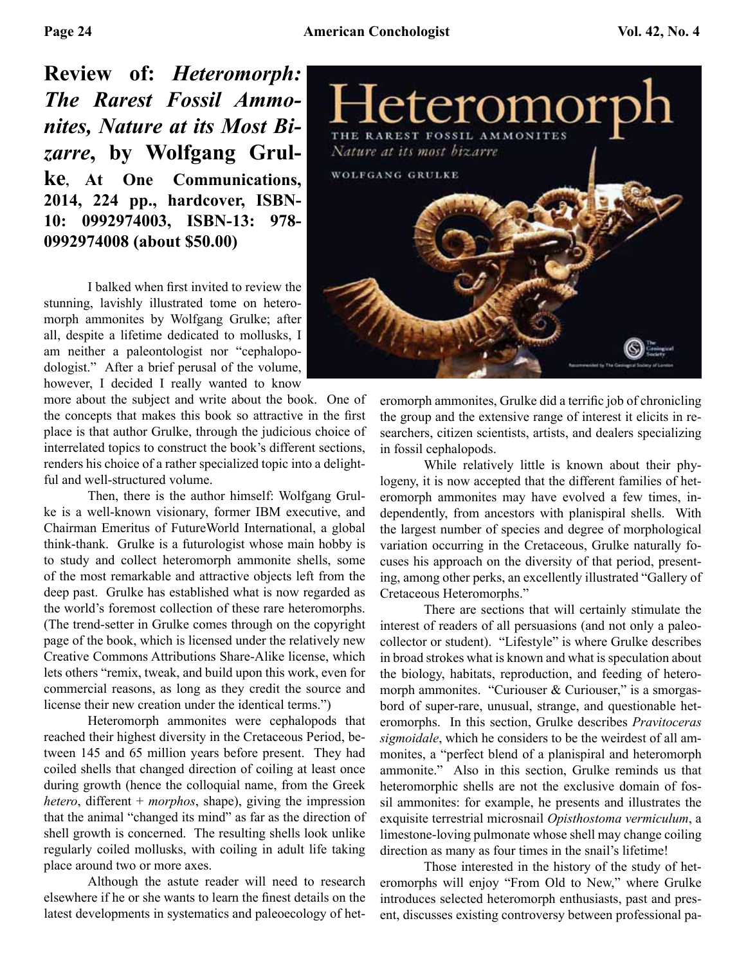**Review of:** *Heteromorph: The Rarest Fossil Ammonites, Nature at its Most Bizarre***, by Wolfgang Grulke, At One Communications, 2014, 224 pp., hardcover, ISBN-10: 0992974003, ISBN-13: 978- 0992974008 (about \$50.00)** 

 I balked when first invited to review the stunning, lavishly illustrated tome on heteromorph ammonites by Wolfgang Grulke; after all, despite a lifetime dedicated to mollusks, I am neither a paleontologist nor "cephalopodologist." After a brief perusal of the volume, however, I decided I really wanted to know

more about the subject and write about the book. One of the concepts that makes this book so attractive in the first place is that author Grulke, through the judicious choice of interrelated topics to construct the book's different sections, renders his choice of a rather specialized topic into a delightful and well-structured volume.

 Then, there is the author himself: Wolfgang Grulke is a well-known visionary, former IBM executive, and Chairman Emeritus of FutureWorld International, a global think-thank. Grulke is a futurologist whose main hobby is to study and collect heteromorph ammonite shells, some of the most remarkable and attractive objects left from the deep past. Grulke has established what is now regarded as the world's foremost collection of these rare heteromorphs. (The trend-setter in Grulke comes through on the copyright page of the book, which is licensed under the relatively new Creative Commons Attributions Share-Alike license, which lets others "remix, tweak, and build upon this work, even for commercial reasons, as long as they credit the source and license their new creation under the identical terms.")

 Heteromorph ammonites were cephalopods that reached their highest diversity in the Cretaceous Period, between 145 and 65 million years before present. They had coiled shells that changed direction of coiling at least once during growth (hence the colloquial name, from the Greek *hetero*, different + *morphos*, shape), giving the impression that the animal "changed its mind" as far as the direction of shell growth is concerned. The resulting shells look unlike regularly coiled mollusks, with coiling in adult life taking place around two or more axes.

 Although the astute reader will need to research elsewhere if he or she wants to learn the finest details on the latest developments in systematics and paleoecology of het-



eromorph ammonites, Grulke did a terrific job of chronicling the group and the extensive range of interest it elicits in researchers, citizen scientists, artists, and dealers specializing in fossil cephalopods.

 While relatively little is known about their phylogeny, it is now accepted that the different families of heteromorph ammonites may have evolved a few times, independently, from ancestors with planispiral shells. With the largest number of species and degree of morphological variation occurring in the Cretaceous, Grulke naturally focuses his approach on the diversity of that period, presenting, among other perks, an excellently illustrated "Gallery of Cretaceous Heteromorphs."

 There are sections that will certainly stimulate the interest of readers of all persuasions (and not only a paleocollector or student). "Lifestyle" is where Grulke describes in broad strokes what is known and what is speculation about the biology, habitats, reproduction, and feeding of heteromorph ammonites. "Curiouser & Curiouser," is a smorgasbord of super-rare, unusual, strange, and questionable heteromorphs. In this section, Grulke describes *Pravitoceras sigmoidale*, which he considers to be the weirdest of all ammonites, a "perfect blend of a planispiral and heteromorph ammonite." Also in this section, Grulke reminds us that heteromorphic shells are not the exclusive domain of fossil ammonites: for example, he presents and illustrates the exquisite terrestrial microsnail *Opisthostoma vermiculum*, a limestone-loving pulmonate whose shell may change coiling direction as many as four times in the snail's lifetime!

 Those interested in the history of the study of heteromorphs will enjoy "From Old to New," where Grulke introduces selected heteromorph enthusiasts, past and present, discusses existing controversy between professional pa-